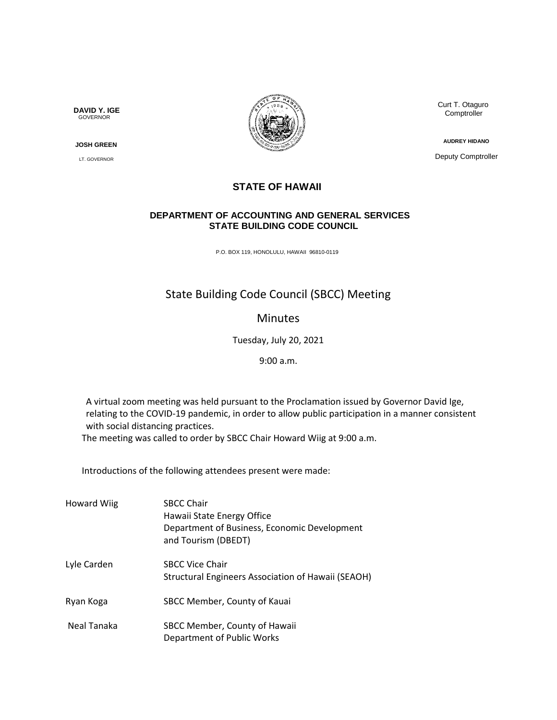**DAVID Y. IGE** GOVERNOR

 **JOSH GREEN**

LT. GOVERNOR



 Curt T. Otaguro **Comptroller** 

**AUDREY HIDANO**

Deputy Comptroller

## **STATE OF HAWAII**

## **DEPARTMENT OF ACCOUNTING AND GENERAL SERVICES STATE BUILDING CODE COUNCIL**

P.O. BOX 119, HONOLULU, HAWAII 96810-0119

## State Building Code Council (SBCC) Meeting

## Minutes

Tuesday, July 20, 2021

9:00 a.m.

A virtual zoom meeting was held pursuant to the Proclamation issued by Governor David Ige, relating to the COVID-19 pandemic, in order to allow public participation in a manner consistent with social distancing practices.

The meeting was called to order by SBCC Chair Howard Wiig at 9:00 a.m.

Introductions of the following attendees present were made:

| <b>Howard Wiig</b> | <b>SBCC Chair</b><br>Hawaii State Energy Office<br>Department of Business, Economic Development<br>and Tourism (DBEDT) |
|--------------------|------------------------------------------------------------------------------------------------------------------------|
| Lyle Carden        | <b>SBCC Vice Chair</b><br>Structural Engineers Association of Hawaii (SEAOH)                                           |
| Ryan Koga          | SBCC Member, County of Kauai                                                                                           |
| Neal Tanaka        | SBCC Member, County of Hawaii<br>Department of Public Works                                                            |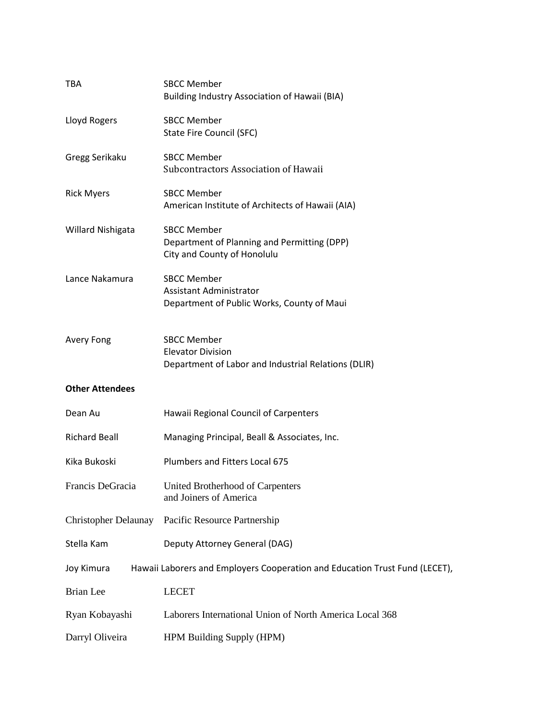| <b>TBA</b>                  | <b>SBCC Member</b><br>Building Industry Association of Hawaii (BIA)                                   |  |
|-----------------------------|-------------------------------------------------------------------------------------------------------|--|
| Lloyd Rogers                | <b>SBCC Member</b><br>State Fire Council (SFC)                                                        |  |
| Gregg Serikaku              | <b>SBCC Member</b><br>Subcontractors Association of Hawaii                                            |  |
| <b>Rick Myers</b>           | <b>SBCC Member</b><br>American Institute of Architects of Hawaii (AIA)                                |  |
| Willard Nishigata           | <b>SBCC Member</b><br>Department of Planning and Permitting (DPP)<br>City and County of Honolulu      |  |
| Lance Nakamura              | <b>SBCC Member</b><br>Assistant Administrator<br>Department of Public Works, County of Maui           |  |
| <b>Avery Fong</b>           | <b>SBCC Member</b><br><b>Elevator Division</b><br>Department of Labor and Industrial Relations (DLIR) |  |
| <b>Other Attendees</b>      |                                                                                                       |  |
| Dean Au                     | Hawaii Regional Council of Carpenters                                                                 |  |
| <b>Richard Beall</b>        | Managing Principal, Beall & Associates, Inc.                                                          |  |
| Kika Bukoski                | Plumbers and Fitters Local 675                                                                        |  |
| Francis DeGracia            | United Brotherhood of Carpenters<br>and Joiners of America                                            |  |
| <b>Christopher Delaunay</b> | Pacific Resource Partnership                                                                          |  |
| Stella Kam                  | Deputy Attorney General (DAG)                                                                         |  |
| Joy Kimura                  | Hawaii Laborers and Employers Cooperation and Education Trust Fund (LECET),                           |  |
| <b>Brian</b> Lee            | <b>LECET</b>                                                                                          |  |
| Ryan Kobayashi              | Laborers International Union of North America Local 368                                               |  |
| Darryl Oliveira             | HPM Building Supply (HPM)                                                                             |  |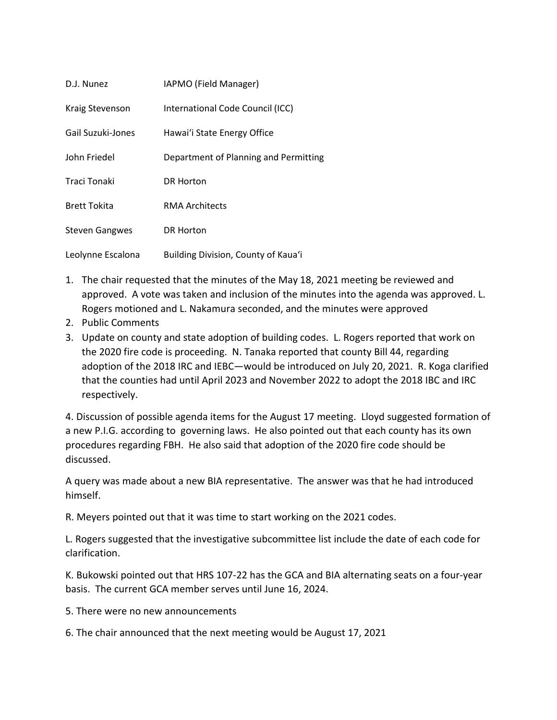| D.J. Nunez            | IAPMO (Field Manager)                 |
|-----------------------|---------------------------------------|
| Kraig Stevenson       | International Code Council (ICC)      |
| Gail Suzuki-Jones     | Hawai'i State Energy Office           |
| John Friedel          | Department of Planning and Permitting |
| Traci Tonaki          | DR Horton                             |
| <b>Brett Tokita</b>   | RMA Architects                        |
| <b>Steven Gangwes</b> | <b>DR Horton</b>                      |
| Leolynne Escalona     | Building Division, County of Kaua'i   |

- 1. The chair requested that the minutes of the May 18, 2021 meeting be reviewed and approved. A vote was taken and inclusion of the minutes into the agenda was approved. L. Rogers motioned and L. Nakamura seconded, and the minutes were approved
- 2. Public Comments
- 3. Update on county and state adoption of building codes. L. Rogers reported that work on the 2020 fire code is proceeding. N. Tanaka reported that county Bill 44, regarding adoption of the 2018 IRC and IEBC—would be introduced on July 20, 2021. R. Koga clarified that the counties had until April 2023 and November 2022 to adopt the 2018 IBC and IRC respectively.

4. Discussion of possible agenda items for the August 17 meeting. Lloyd suggested formation of a new P.I.G. according to governing laws. He also pointed out that each county has its own procedures regarding FBH. He also said that adoption of the 2020 fire code should be discussed.

A query was made about a new BIA representative. The answer was that he had introduced himself.

R. Meyers pointed out that it was time to start working on the 2021 codes.

L. Rogers suggested that the investigative subcommittee list include the date of each code for clarification.

K. Bukowski pointed out that HRS 107-22 has the GCA and BIA alternating seats on a four-year basis. The current GCA member serves until June 16, 2024.

- 5. There were no new announcements
- 6. The chair announced that the next meeting would be August 17, 2021